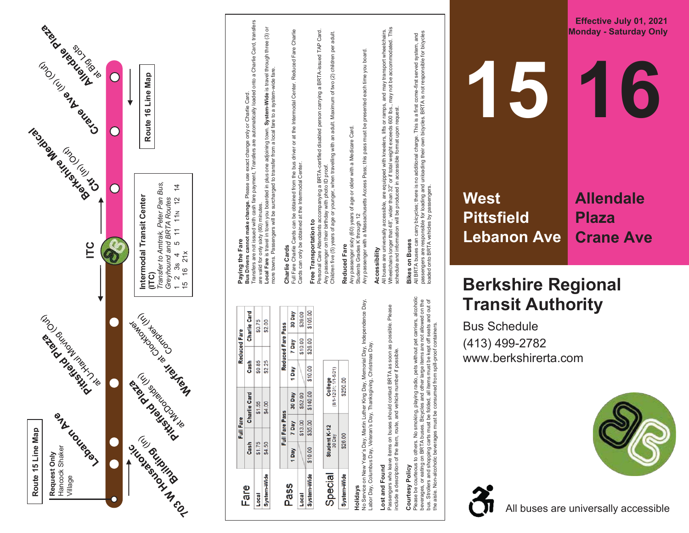

## **15West Pittsfiel d Allen dal e**

**Eff e c tiv e J uly 0 1 , 2 021 Monday - Saturday Only** 

**1 6**

**Plaza<br>Crane Ave** 

## **Berkshire Regional T ransit Au t hority**

Bu s S c hedule (413) 4 9 9 -2782 www.berkshirerta.com